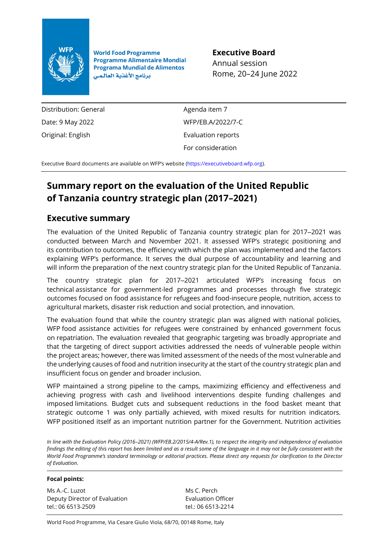

**World Food Programme Programme Alimentaire Mondial Programa Mundial de Alimentos** برنامج الأغذية العالمي

**Executive Board** Annual session Rome, 20–24 June 2022

Distribution: General Date: 9 May 2022 Original: English

Agenda item 7 WFP/EB.A/2022/7-C Evaluation reports For consideration

Executive Board documents are available on WFP's website [\(https://executiveboard.wfp.org\)](https://executiveboard.wfp.org/).

# **Summary report on the evaluation of the United Republic of Tanzania country strategic plan (2017–2021)**

## **Executive summary**

The evaluation of the United Republic of Tanzania country strategic plan for 2017–2021 was conducted between March and November 2021. It assessed WFP's strategic positioning and its contribution to outcomes, the efficiency with which the plan was implemented and the factors explaining WFP's performance. It serves the dual purpose of accountability and learning and will inform the preparation of the next country strategic plan for the United Republic of Tanzania.

The country strategic plan for 2017–2021 articulated WFP's increasing focus on technical assistance for government-led programmes and processes through five strategic outcomes focused on food assistance for refugees and food-insecure people, nutrition, access to agricultural markets, disaster risk reduction and social protection, and innovation.

The evaluation found that while the country strategic plan was aligned with national policies, WFP food assistance activities for refugees were constrained by enhanced government focus on repatriation. The evaluation revealed that geographic targeting was broadly appropriate and that the targeting of direct support activities addressed the needs of vulnerable people within the project areas; however, there was limited assessment of the needs of the most vulnerable and the underlying causes of food and nutrition insecurity at the start of the country strategic plan and insufficient focus on gender and broader inclusion.

WFP maintained a strong pipeline to the camps, maximizing efficiency and effectiveness and achieving progress with cash and livelihood interventions despite funding challenges and imposed limitations. Budget cuts and subsequent reductions in the food basket meant that strategic outcome 1 was only partially achieved, with mixed results for nutrition indicators. WFP positioned itself as an important nutrition partner for the Government. Nutrition activities

*In line with the Evaluation Policy (2016–2021) (WFP/EB.2/2015/4-A/Rev.1), to respect the integrity and independence of evaluation findings the editing of this report has been limited and as a result some of the language in it may not be fully consistent with the World Food Programme's standard terminology or editorial practices. Please direct any requests for clarification to the Director of Evaluation.*

#### **Focal points:**

Ms A.-C. Luzot Deputy Director of Evaluation tel.: 06 6513-2509

Ms C. Perch Evaluation Officer tel.: 06 6513-2214

World Food Programme, Via Cesare Giulio Viola, 68/70, 00148 Rome, Italy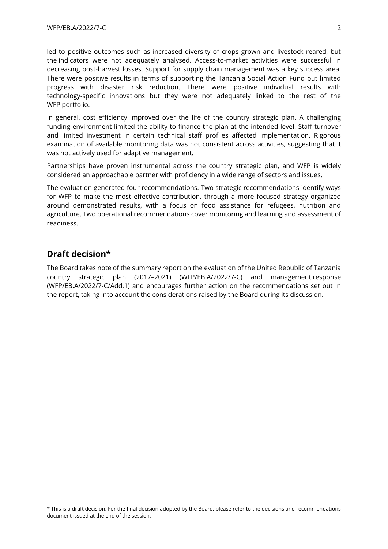led to positive outcomes such as increased diversity of crops grown and livestock reared, but the indicators were not adequately analysed. Access-to-market activities were successful in decreasing post-harvest losses. Support for supply chain management was a key success area. There were positive results in terms of supporting the Tanzania Social Action Fund but limited progress with disaster risk reduction. There were positive individual results with technology-specific innovations but they were not adequately linked to the rest of the WFP portfolio.

In general, cost efficiency improved over the life of the country strategic plan. A challenging funding environment limited the ability to finance the plan at the intended level. Staff turnover and limited investment in certain technical staff profiles affected implementation. Rigorous examination of available monitoring data was not consistent across activities, suggesting that it was not actively used for adaptive management.

Partnerships have proven instrumental across the country strategic plan, and WFP is widely considered an approachable partner with proficiency in a wide range of sectors and issues.

The evaluation generated four recommendations. Two strategic recommendations identify ways for WFP to make the most effective contribution, through a more focused strategy organized around demonstrated results, with a focus on food assistance for refugees, nutrition and agriculture. Two operational recommendations cover monitoring and learning and assessment of readiness.

## **Draft decision\***

The Board takes note of the summary report on the evaluation of the United Republic of Tanzania country strategic plan (2017–2021) (WFP/EB.A/2022/7-C) and management response (WFP/EB.A/2022/7-C/Add.1) and encourages further action on the recommendations set out in the report, taking into account the considerations raised by the Board during its discussion.

<sup>\*</sup> This is a draft decision. For the final decision adopted by the Board, please refer to the decisions and recommendations document issued at the end of the session.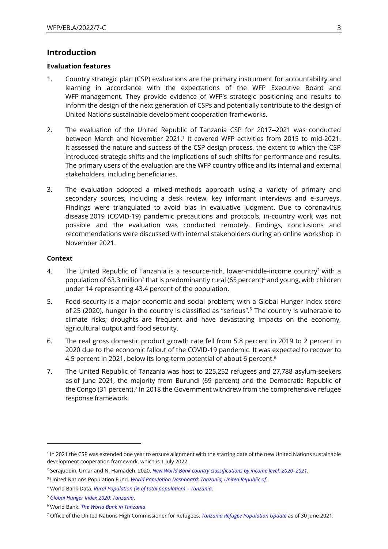## **Introduction**

## **Evaluation features**

- 1. Country strategic plan (CSP) evaluations are the primary instrument for accountability and learning in accordance with the expectations of the WFP Executive Board and WFP management. They provide evidence of WFP's strategic positioning and results to inform the design of the next generation of CSPs and potentially contribute to the design of United Nations sustainable development cooperation frameworks.
- 2. The evaluation of the United Republic of Tanzania CSP for 2017–2021 was conducted between March and November 2021.<sup>1</sup> It covered WFP activities from 2015 to mid-2021. It assessed the nature and success of the CSP design process, the extent to which the CSP introduced strategic shifts and the implications of such shifts for performance and results. The primary users of the evaluation are the WFP country office and its internal and external stakeholders, including beneficiaries.
- 3. The evaluation adopted a mixed-methods approach using a variety of primary and secondary sources, including a desk review, key informant interviews and e-surveys. Findings were triangulated to avoid bias in evaluative judgment. Due to coronavirus disease 2019 (COVID-19) pandemic precautions and protocols, in-country work was not possible and the evaluation was conducted remotely. Findings, conclusions and recommendations were discussed with internal stakeholders during an online workshop in November 2021.

## **Context**

- 4. The United Republic of Tanzania is a resource-rich, lower-middle-income country<sup>2</sup> with a population of 63.3 million<sup>3</sup> that is predominantly rural (65 percent)<sup>4</sup> and young, with children under 14 representing 43.4 percent of the population.
- 5. Food security is a major economic and social problem; with a Global Hunger Index score of 25 (2020), hunger in the country is classified as "serious".<sup>5</sup> The country is vulnerable to climate risks; droughts are frequent and have devastating impacts on the economy, agricultural output and food security.
- 6. The real gross domestic product growth rate fell from 5.8 percent in 2019 to 2 percent in 2020 due to the economic fallout of the COVID-19 pandemic. It was expected to recover to 4.5 percent in 2021, below its long-term potential of about 6 percent.<sup>6</sup>
- 7. The United Republic of Tanzania was host to 225,252 refugees and 27,788 asylum-seekers as of June 2021, the majority from Burundi (69 percent) and the Democratic Republic of the Congo (31 percent).<sup>7</sup> In 2018 the Government withdrew from the comprehensive refugee response framework.

<sup>&</sup>lt;sup>1</sup> In 2021 the CSP was extended one year to ensure alignment with the starting date of the new United Nations sustainable development cooperation framework, which is 1 July 2022.

<sup>2</sup> Serajuddin, Umar and N. Hamadeh. 2020. *[New World Bank country classifications by income level: 2020](https://blogs.worldbank.org/opendata/new-world-bank-country-classifications-income-level-2020-2021)–2021*.

<sup>3</sup> United Nations Population Fund. *[World Population Dashboard: Tanzania, United Republic of](https://www.unfpa.org/data/world-population/TZ)*.

<sup>4</sup> World Bank Data. *[Rural Population \(% of total population\)](https://data.worldbank.org/indicator/SP.RUR.TOTL.ZS?contextual=default&locations=TZ) – Tanzania*.

<sup>5</sup> *[Global Hunger Index 2020: Tanzania](https://www.globalhungerindex.org/pdf/en/2020/Tanzania.pdf)*.

<sup>6</sup> World Bank. *[The World Bank in Tanzania](https://www.worldbank.org/en/country/tanzania/overview#1)*.

<sup>7</sup> Office of the United Nations High Commissioner for Refugees. *[Tanzania Refugee Population Update](https://reporting.unhcr.org/sites/default/files/UNHCR%20Tanzania%20Refugee%20Population%20Dashboard%20-%20June%202021.pdf)* as of 30 June 2021.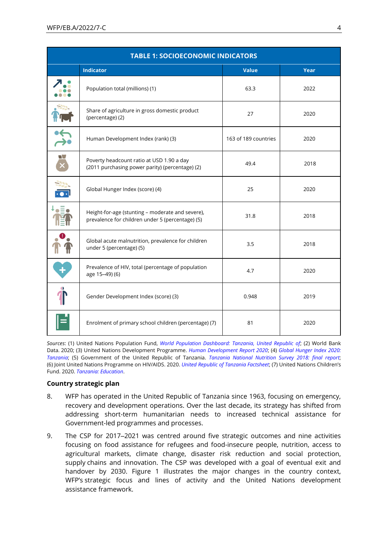| <b>TABLE 1: SOCIOECONOMIC INDICATORS</b> |                                                                                                      |                      |      |  |
|------------------------------------------|------------------------------------------------------------------------------------------------------|----------------------|------|--|
|                                          | <b>Indicator</b>                                                                                     | <b>Value</b>         | Year |  |
|                                          | Population total (millions) (1)                                                                      | 63.3                 | 2022 |  |
|                                          | Share of agriculture in gross domestic product<br>(percentage) (2)                                   | 27                   | 2020 |  |
|                                          | Human Development Index (rank) (3)                                                                   | 163 of 189 countries | 2020 |  |
| $\blacksquare$                           | Poverty headcount ratio at USD 1.90 a day<br>(2011 purchasing power parity) (percentage) (2)         | 49.4                 | 2018 |  |
| $\cdot$ $\bullet$ $\cdot$                | Global Hunger Index (score) (4)                                                                      | 25                   | 2020 |  |
| ıΞ.                                      | Height-for-age (stunting - moderate and severe),<br>prevalence for children under 5 (percentage) (5) | 31.8                 | 2018 |  |
|                                          | Global acute malnutrition, prevalence for children<br>under 5 (percentage) (5)                       | 3.5                  | 2018 |  |
|                                          | Prevalence of HIV, total (percentage of population<br>age 15-49) (6)                                 | 4.7                  | 2020 |  |
|                                          | Gender Development Index (score) (3)                                                                 | 0.948                | 2019 |  |
|                                          | Enrolment of primary school children (percentage) (7)                                                | 81                   | 2020 |  |

*Sources*: (1) United Nations Population Fund, *[World Population Dashboard: Tanzania, United Republic of](https://www.unfpa.org/data/world-population/TZ)*; (2) World Bank Data. 2020; (3) United Nations Development Programme. *[Human Development Report 2020](https://hdr.undp.org/en/2020-report)*; (4) *[Global Hunger Index 2020:](https://www.globalhungerindex.org/pdf/en/2020/Tanzania.pdf)  [Tanzania](https://www.globalhungerindex.org/pdf/en/2020/Tanzania.pdf)*; (5) Government of the United Republic of Tanzania. *[Tanzania National Nutrition Survey](https://www.worldcat.org/title/tanzania-national-nutrition-survey-2018-final-report/oclc/1237122155) 2018: final report*; (6) Joint United Nations Programme on HIV/AIDS. 2020. *[United Republic of Tanzania Factsheet](https://www.unaids.org/en/regionscountries/countries/unitedrepublicoftanzania)*; (7) United Nations Children's Fund. 2020. *[Tanzania: Education](https://www.unicef.org/tanzania/what-we-do/education)*.

## **Country strategic plan**

- 8. WFP has operated in the United Republic of Tanzania since 1963, focusing on emergency, recovery and development operations. Over the last decade, its strategy has shifted from addressing short-term humanitarian needs to increased technical assistance for Government-led programmes and processes.
- 9. The CSP for 2017–2021 was centred around five strategic outcomes and nine activities focusing on food assistance for refugees and food-insecure people, nutrition, access to agricultural markets, climate change, disaster risk reduction and social protection, supply chains and innovation. The CSP was developed with a goal of eventual exit and handover by 2030. Figure 1 illustrates the major changes in the country context, WFP's strategic focus and lines of activity and the United Nations development assistance framework.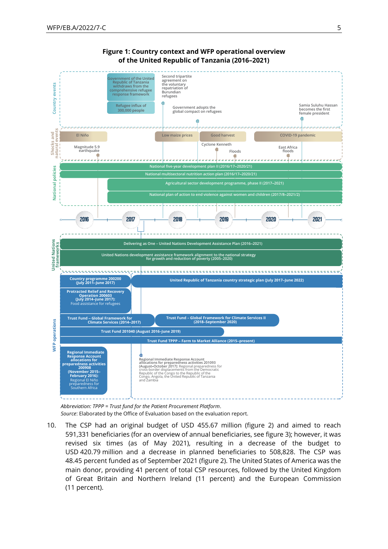

## **Figure 1: Country context and WFP operational overview of the United Republic of Tanzania (2016–2021)**

*Abbreviation: TPPP = Trust fund for the Patient Procurement Platform*. *Source*: Elaborated by the Office of Evaluation based on the evaluation report.

10. The CSP had an original budget of USD 455.67 million (figure 2) and aimed to reach 591,331 beneficiaries (for an overview of annual beneficiaries, see figure 3); however, it was revised six times (as of May 2021), resulting in a decrease of the budget to USD 420.79 million and a decrease in planned beneficiaries to 508,828. The CSP was 48.45 percent funded as of September 2021 (figure 2). The United States of America was the main donor, providing 41 percent of total CSP resources, followed by the United Kingdom of Great Britain and Northern Ireland (11 percent) and the European Commission (11 percent).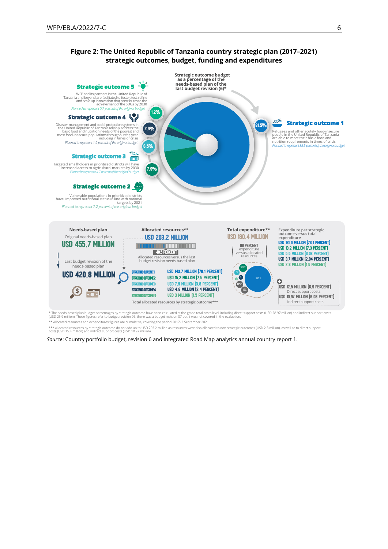## **Figure 2: The United Republic of Tanzania country strategic plan (2017–2021) strategic outcomes, budget, funding and expenditures**



\* The needs-based plan budget percentages by strategic outcome have been calculated at the grand total costs level, including direct support costs (USD 28.97 million) and indirect support costs<br>(USD 25.9 million). These fi

\*\* Allocated resources and expenditures figures are cumulative, covering the period 2017–2 September 2021.

Allocated resources by strategic outcome do not add up to USD 203.2 million as resources were also allocated to non-strategic outcomes (USD 2.3 million), as well as to direct support<br>
costs (USD 15.4 million) and indirect

*Source*: Country portfolio budget, revision 6 and Integrated Road Map analytics annual country report 1.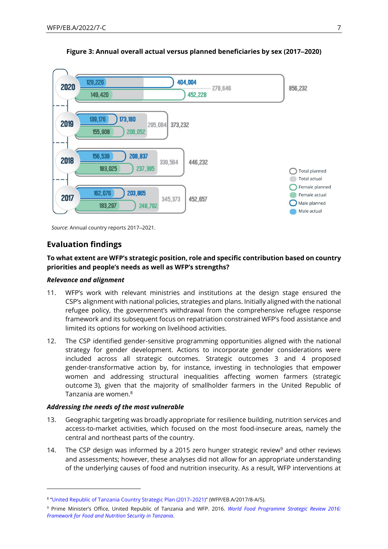

#### **Figure 3: Annual overall actual versus planned beneficiaries by sex (2017‒2020)**

Source: Annual country reports 2017-2021.

## **Evaluation findings**

## **To what extent are WFP's strategic position, role and specific contribution based on country priorities and people's needs as well as WFP's strengths?**

## *Relevance and alignment*

- 11. WFP's work with relevant ministries and institutions at the design stage ensured the CSP's alignment with national policies, strategies and plans. Initially aligned with the national refugee policy, the government's withdrawal from the comprehensive refugee response framework and its subsequent focus on repatriation constrained WFP's food assistance and limited its options for working on livelihood activities.
- 12. The CSP identified gender-sensitive programming opportunities aligned with the national strategy for gender development. Actions to incorporate gender considerations were included across all strategic outcomes. Strategic outcomes 3 and 4 proposed gender-transformative action by, for instance, investing in technologies that empower women and addressing structural inequalities affecting women farmers (strategic outcome 3), given that the majority of smallholder farmers in the United Republic of Tanzania are women.<sup>8</sup>

## *Addressing the needs of the most vulnerable*

- 13. Geographic targeting was broadly appropriate for resilience building, nutrition services and access-to-market activities, which focused on the most food-insecure areas, namely the central and northeast parts of the country.
- 14. The CSP design was informed by a 2015 zero hunger strategic review<sup>9</sup> and other reviews and assessments; however, these analyses did not allow for an appropriate understanding of the underlying causes of food and nutrition insecurity. As a result, WFP interventions at

<sup>8</sup> "[United Republic of Tanzania Country Strategic Plan \(2017](https://executiveboard.wfp.org/document_download/WFP-0000037567)–2021)" (WFP/EB.A/2017/8-A/5).

<sup>9</sup> Prime Minister's Office, United Republic of Tanzania and WFP. 2016. *[World Food Programme](https://www.wfp.org/publications/wfp-strategic-review-2016-framework-food-and-nutrition-security-tanzania) Strategic Review 2016: [Framework for Food and Nutrition Security in Tanzania](https://www.wfp.org/publications/wfp-strategic-review-2016-framework-food-and-nutrition-security-tanzania)*.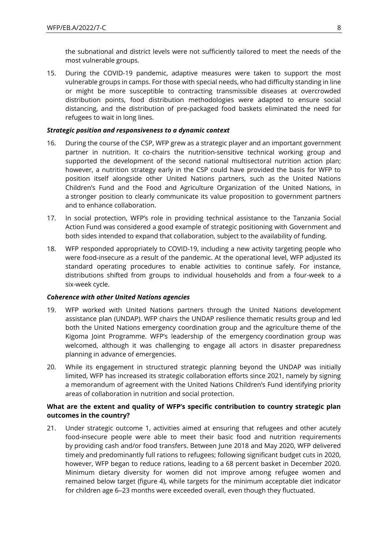the subnational and district levels were not sufficiently tailored to meet the needs of the most vulnerable groups.

15. During the COVID-19 pandemic, adaptive measures were taken to support the most vulnerable groups in camps. For those with special needs, who had difficulty standing in line or might be more susceptible to contracting transmissible diseases at overcrowded distribution points, food distribution methodologies were adapted to ensure social distancing, and the distribution of pre-packaged food baskets eliminated the need for refugees to wait in long lines.

## *Strategic position and responsiveness to a dynamic context*

- 16. During the course of the CSP, WFP grew as a strategic player and an important government partner in nutrition. It co-chairs the nutrition-sensitive technical working group and supported the development of the second national multisectoral nutrition action plan; however, a nutrition strategy early in the CSP could have provided the basis for WFP to position itself alongside other United Nations partners, such as the United Nations Children's Fund and the Food and Agriculture Organization of the United Nations, in a stronger position to clearly communicate its value proposition to government partners and to enhance collaboration.
- 17. In social protection, WFP's role in providing technical assistance to the Tanzania Social Action Fund was considered a good example of strategic positioning with Government and both sides intended to expand that collaboration, subject to the availability of funding.
- 18. WFP responded appropriately to COVID-19, including a new activity targeting people who were food-insecure as a result of the pandemic. At the operational level, WFP adjusted its standard operating procedures to enable activities to continue safely. For instance, distributions shifted from groups to individual households and from a four-week to a six-week cycle.

## *Coherence with other United Nations agencies*

- 19. WFP worked with United Nations partners through the United Nations development assistance plan (UNDAP). WFP chairs the UNDAP resilience thematic results group and led both the United Nations emergency coordination group and the agriculture theme of the Kigoma Joint Programme. WFP's leadership of the emergency coordination group was welcomed, although it was challenging to engage all actors in disaster preparedness planning in advance of emergencies.
- 20. While its engagement in structured strategic planning beyond the UNDAP was initially limited, WFP has increased its strategic collaboration efforts since 2021, namely by signing a memorandum of agreement with the United Nations Children's Fund identifying priority areas of collaboration in nutrition and social protection.

## **What are the extent and quality of WFP's specific contribution to country strategic plan outcomes in the country?**

21. Under strategic outcome 1, activities aimed at ensuring that refugees and other acutely food-insecure people were able to meet their basic food and nutrition requirements by providing cash and/or food transfers. Between June 2018 and May 2020, WFP delivered timely and predominantly full rations to refugees; following significant budget cuts in 2020, however, WFP began to reduce rations, leading to a 68 percent basket in December 2020. Minimum dietary diversity for women did not improve among refugee women and remained below target (figure 4), while targets for the minimum acceptable diet indicator for children age 6–23 months were exceeded overall, even though they fluctuated.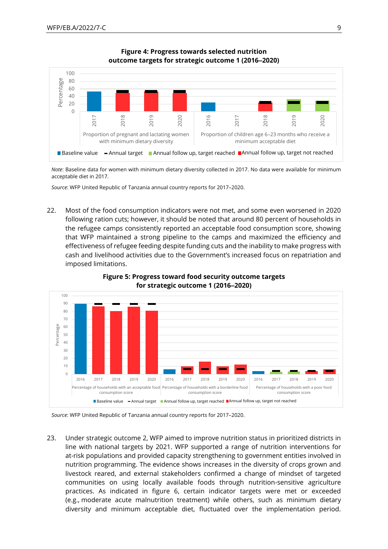

**Figure 4: Progress towards selected nutrition outcome targets for strategic outcome 1 (2016‒2020)**

*Note*: Baseline data for women with minimum dietary diversity collected in 2017. No data were available for minimum acceptable diet in 2017.

*Source*: WFP United Republic of Tanzania annual country reports for 2017–2020.

22. Most of the food consumption indicators were not met, and some even worsened in 2020 following ration cuts; however, it should be noted that around 80 percent of households in the refugee camps consistently reported an acceptable food consumption score, showing that WFP maintained a strong pipeline to the camps and maximized the efficiency and effectiveness of refugee feeding despite funding cuts and the inability to make progress with cash and livelihood activities due to the Government's increased focus on repatriation and imposed limitations.





*Source*: WFP United Republic of Tanzania annual country reports for 2017–2020.

23. Under strategic outcome 2, WFP aimed to improve nutrition status in prioritized districts in line with national targets by 2021. WFP supported a range of nutrition interventions for at-risk populations and provided capacity strengthening to government entities involved in nutrition programming. The evidence shows increases in the diversity of crops grown and livestock reared, and external stakeholders confirmed a change of mindset of targeted communities on using locally available foods through nutrition-sensitive agriculture practices. As indicated in figure 6, certain indicator targets were met or exceeded (e.g., moderate acute malnutrition treatment) while others, such as minimum dietary diversity and minimum acceptable diet, fluctuated over the implementation period.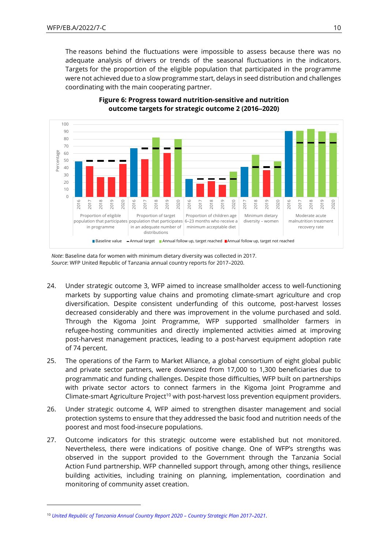The reasons behind the fluctuations were impossible to assess because there was no adequate analysis of drivers or trends of the seasonal fluctuations in the indicators. Targets for the proportion of the eligible population that participated in the programme were not achieved due to a slow programme start, delays in seed distribution and challenges coordinating with the main cooperating partner.





*Note*: Baseline data for women with minimum dietary diversity was collected in 2017. *Source*: WFP United Republic of Tanzania annual country reports for 2017–2020.

- 24. Under strategic outcome 3, WFP aimed to increase smallholder access to well-functioning markets by supporting value chains and promoting climate-smart agriculture and crop diversification. Despite consistent underfunding of this outcome, post-harvest losses decreased considerably and there was improvement in the volume purchased and sold. Through the Kigoma Joint Programme, WFP supported smallholder farmers in refugee-hosting communities and directly implemented activities aimed at improving post-harvest management practices, leading to a post-harvest equipment adoption rate of 74 percent.
- 25. The operations of the Farm to Market Alliance, a global consortium of eight global public and private sector partners, were downsized from 17,000 to 1,300 beneficiaries due to programmatic and funding challenges. Despite those difficulties, WFP built on partnerships with private sector actors to connect farmers in the Kigoma Joint Programme and Climate-smart Agriculture Project<sup>10</sup> with post-harvest loss prevention equipment providers.
- 26. Under strategic outcome 4, WFP aimed to strengthen disaster management and social protection systems to ensure that they addressed the basic food and nutrition needs of the poorest and most food-insecure populations.
- 27. Outcome indicators for this strategic outcome were established but not monitored. Nevertheless, there were indications of positive change. One of WFP's strengths was observed in the support provided to the Government through the Tanzania Social Action Fund partnership. WFP channelled support through, among other things, resilience building activities, including training on planning, implementation, coordination and monitoring of community asset creation.

<sup>10</sup> *[United Republic of Tanzania Annual Country Report 2020](https://docs.wfp.org/api/documents/WFP-0000125457/download/) – Country Strategic Plan 2017–2021*.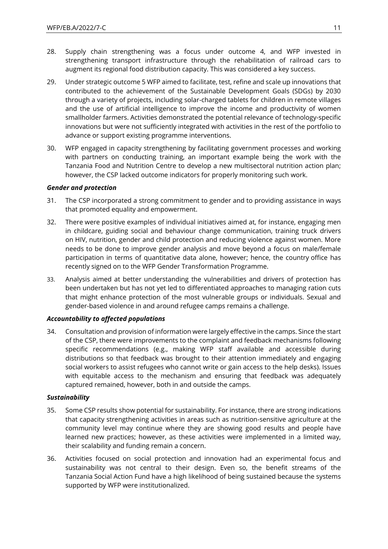- 28. Supply chain strengthening was a focus under outcome 4, and WFP invested in strengthening transport infrastructure through the rehabilitation of railroad cars to augment its regional food distribution capacity. This was considered a key success.
- 29. Under strategic outcome 5 WFP aimed to facilitate, test, refine and scale up innovations that contributed to the achievement of the Sustainable Development Goals (SDGs) by 2030 through a variety of projects, including solar-charged tablets for children in remote villages and the use of artificial intelligence to improve the income and productivity of women smallholder farmers. Activities demonstrated the potential relevance of technology-specific innovations but were not sufficiently integrated with activities in the rest of the portfolio to advance or support existing programme interventions.
- 30. WFP engaged in capacity strengthening by facilitating government processes and working with partners on conducting training, an important example being the work with the Tanzania Food and Nutrition Centre to develop a new multisectoral nutrition action plan; however, the CSP lacked outcome indicators for properly monitoring such work.

## *Gender and protection*

- 31. The CSP incorporated a strong commitment to gender and to providing assistance in ways that promoted equality and empowerment.
- 32. There were positive examples of individual initiatives aimed at, for instance, engaging men in childcare, guiding social and behaviour change communication, training truck drivers on HIV, nutrition, gender and child protection and reducing violence against women. More needs to be done to improve gender analysis and move beyond a focus on male/female participation in terms of quantitative data alone, however; hence, the country office has recently signed on to the WFP Gender Transformation Programme.
- 33. Analysis aimed at better understanding the vulnerabilities and drivers of protection has been undertaken but has not yet led to differentiated approaches to managing ration cuts that might enhance protection of the most vulnerable groups or individuals. Sexual and gender-based violence in and around refugee camps remains a challenge.

## *Accountability to affected populations*

34. Consultation and provision of information were largely effective in the camps. Since the start of the CSP, there were improvements to the complaint and feedback mechanisms following specific recommendations (e.g., making WFP staff available and accessible during distributions so that feedback was brought to their attention immediately and engaging social workers to assist refugees who cannot write or gain access to the help desks). Issues with equitable access to the mechanism and ensuring that feedback was adequately captured remained, however, both in and outside the camps.

## *Sustainability*

- 35. Some CSP results show potential for sustainability. For instance, there are strong indications that capacity strengthening activities in areas such as nutrition-sensitive agriculture at the community level may continue where they are showing good results and people have learned new practices; however, as these activities were implemented in a limited way, their scalability and funding remain a concern.
- 36. Activities focused on social protection and innovation had an experimental focus and sustainability was not central to their design. Even so, the benefit streams of the Tanzania Social Action Fund have a high likelihood of being sustained because the systems supported by WFP were institutionalized.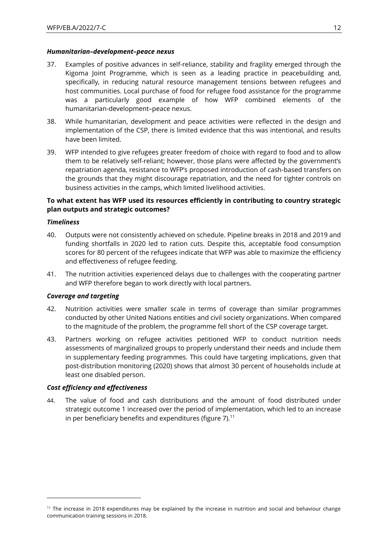#### *Humanitarian–development–peace nexus*

- 37. Examples of positive advances in self-reliance, stability and fragility emerged through the Kigoma Joint Programme, which is seen as a leading practice in peacebuilding and, specifically, in reducing natural resource management tensions between refugees and host communities. Local purchase of food for refugee food assistance for the programme was a particularly good example of how WFP combined elements of the humanitarian-development–peace nexus.
- 38. While humanitarian, development and peace activities were reflected in the design and implementation of the CSP, there is limited evidence that this was intentional, and results have been limited.
- 39. WFP intended to give refugees greater freedom of choice with regard to food and to allow them to be relatively self-reliant; however, those plans were affected by the government's repatriation agenda, resistance to WFP's proposed introduction of cash-based transfers on the grounds that they might discourage repatriation, and the need for tighter controls on business activities in the camps, which limited livelihood activities.

## **To what extent has WFP used its resources efficiently in contributing to country strategic plan outputs and strategic outcomes?**

## *Timeliness*

- 40. Outputs were not consistently achieved on schedule. Pipeline breaks in 2018 and 2019 and funding shortfalls in 2020 led to ration cuts. Despite this, acceptable food consumption scores for 80 percent of the refugees indicate that WFP was able to maximize the efficiency and effectiveness of refugee feeding.
- 41. The nutrition activities experienced delays due to challenges with the cooperating partner and WFP therefore began to work directly with local partners.

#### *Coverage and targeting*

- 42. Nutrition activities were smaller scale in terms of coverage than similar programmes conducted by other United Nations entities and civil society organizations. When compared to the magnitude of the problem, the programme fell short of the CSP coverage target.
- 43. Partners working on refugee activities petitioned WFP to conduct nutrition needs assessments of marginalized groups to properly understand their needs and include them in supplementary feeding programmes. This could have targeting implications, given that post-distribution monitoring (2020) shows that almost 30 percent of households include at least one disabled person.

## *Cost efficiency and effectiveness*

44. The value of food and cash distributions and the amount of food distributed under strategic outcome 1 increased over the period of implementation, which led to an increase in per beneficiary benefits and expenditures (figure  $7$ ).<sup>11</sup>

<sup>&</sup>lt;sup>11</sup> The increase in 2018 expenditures may be explained by the increase in nutrition and social and behaviour change communication training sessions in 2018.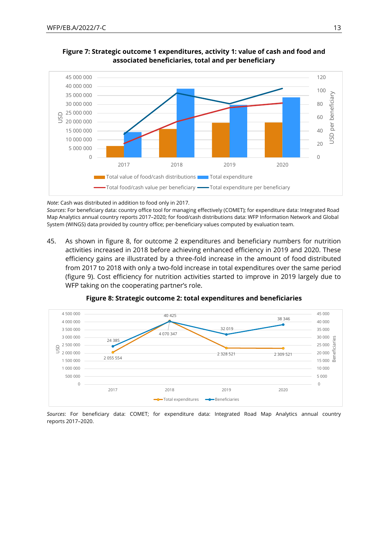



*Note*: Cash was distributed in addition to food only in 2017.

*Sources*: For beneficiary data: country office tool for managing effectively (COMET); for expenditure data: Integrated Road Map Analytics annual country reports 2017–2020; for food/cash distributions data: WFP Information Network and Global System (WINGS) data provided by country office; per-beneficiary values computed by evaluation team.

45. As shown in figure 8, for outcome 2 expenditures and beneficiary numbers for nutrition activities increased in 2018 before achieving enhanced efficiency in 2019 and 2020. These efficiency gains are illustrated by a three-fold increase in the amount of food distributed from 2017 to 2018 with only a two-fold increase in total expenditures over the same period (figure 9). Cost efficiency for nutrition activities started to improve in 2019 largely due to WFP taking on the cooperating partner's role.



**Figure 8: Strategic outcome 2: total expenditures and beneficiaries**

*Sources*: For beneficiary data: COMET; for expenditure data: Integrated Road Map Analytics annual country reports 2017–2020.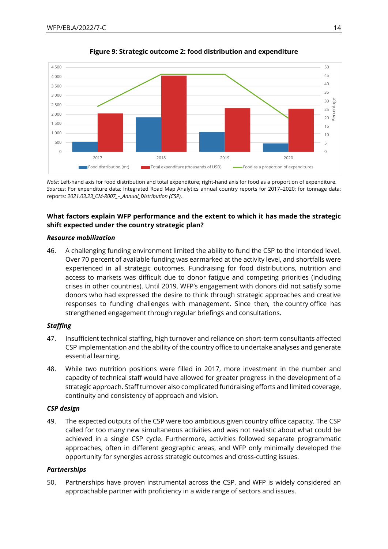

## **Figure 9: Strategic outcome 2: food distribution and expenditure**

*Note*: Left-hand axis for food distribution and total expenditure; right-hand axis for food as a proportion of expenditure. *Sources*: For expenditure data: Integrated Road Map Analytics annual country reports for 2017–2020; for tonnage data: reports: *2021.03.23\_CM-R007\_–\_Annual\_Distribution (CSP)*.

## **What factors explain WFP performance and the extent to which it has made the strategic shift expected under the country strategic plan?**

#### *Resource mobilization*

46. A challenging funding environment limited the ability to fund the CSP to the intended level. Over 70 percent of available funding was earmarked at the activity level, and shortfalls were experienced in all strategic outcomes. Fundraising for food distributions, nutrition and access to markets was difficult due to donor fatigue and competing priorities (including crises in other countries). Until 2019, WFP's engagement with donors did not satisfy some donors who had expressed the desire to think through strategic approaches and creative responses to funding challenges with management. Since then, the country office has strengthened engagement through regular briefings and consultations.

## *Staffing*

- 47. Insufficient technical staffing, high turnover and reliance on short-term consultants affected CSP implementation and the ability of the country office to undertake analyses and generate essential learning.
- 48. While two nutrition positions were filled in 2017, more investment in the number and capacity of technical staff would have allowed for greater progress in the development of a strategic approach. Staff turnover also complicated fundraising efforts and limited coverage, continuity and consistency of approach and vision.

## *CSP design*

49. The expected outputs of the CSP were too ambitious given country office capacity. The CSP called for too many new simultaneous activities and was not realistic about what could be achieved in a single CSP cycle. Furthermore, activities followed separate programmatic approaches, often in different geographic areas, and WFP only minimally developed the opportunity for synergies across strategic outcomes and cross-cutting issues.

## *Partnerships*

50. Partnerships have proven instrumental across the CSP, and WFP is widely considered an approachable partner with proficiency in a wide range of sectors and issues.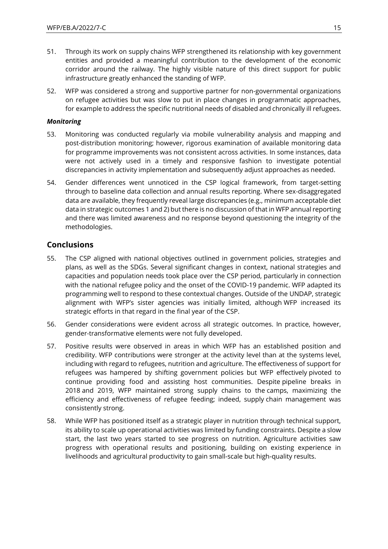- 51. Through its work on supply chains WFP strengthened its relationship with key government entities and provided a meaningful contribution to the development of the economic corridor around the railway. The highly visible nature of this direct support for public infrastructure greatly enhanced the standing of WFP.
- 52. WFP was considered a strong and supportive partner for non-governmental organizations on refugee activities but was slow to put in place changes in programmatic approaches, for example to address the specific nutritional needs of disabled and chronically ill refugees.

## *Monitoring*

- 53. Monitoring was conducted regularly via mobile vulnerability analysis and mapping and post-distribution monitoring; however, rigorous examination of available monitoring data for programme improvements was not consistent across activities. In some instances, data were not actively used in a timely and responsive fashion to investigate potential discrepancies in activity implementation and subsequently adjust approaches as needed.
- 54. Gender differences went unnoticed in the CSP logical framework, from target-setting through to baseline data collection and annual results reporting. Where sex-disaggregated data are available, they frequently reveal large discrepancies (e.g., minimum acceptable diet data in strategic outcomes 1 and 2) but there is no discussion of that in WFP annual reporting and there was limited awareness and no response beyond questioning the integrity of the methodologies.

## **Conclusions**

- 55. The CSP aligned with national objectives outlined in government policies, strategies and plans, as well as the SDGs. Several significant changes in context, national strategies and capacities and population needs took place over the CSP period, particularly in connection with the national refugee policy and the onset of the COVID-19 pandemic. WFP adapted its programming well to respond to these contextual changes. Outside of the UNDAP, strategic alignment with WFP's sister agencies was initially limited, although WFP increased its strategic efforts in that regard in the final year of the CSP.
- 56. Gender considerations were evident across all strategic outcomes. In practice, however, gender-transformative elements were not fully developed.
- 57. Positive results were observed in areas in which WFP has an established position and credibility. WFP contributions were stronger at the activity level than at the systems level, including with regard to refugees, nutrition and agriculture. The effectiveness of support for refugees was hampered by shifting government policies but WFP effectively pivoted to continue providing food and assisting host communities. Despite pipeline breaks in 2018 and 2019, WFP maintained strong supply chains to the camps, maximizing the efficiency and effectiveness of refugee feeding; indeed, supply chain management was consistently strong.
- 58. While WFP has positioned itself as a strategic player in nutrition through technical support, its ability to scale up operational activities was limited by funding constraints. Despite a slow start, the last two years started to see progress on nutrition. Agriculture activities saw progress with operational results and positioning, building on existing experience in livelihoods and agricultural productivity to gain small-scale but high-quality results.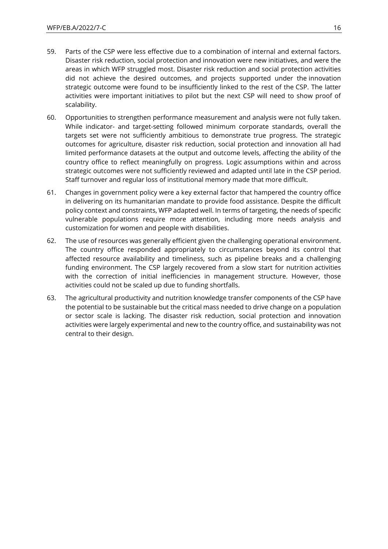- 59. Parts of the CSP were less effective due to a combination of internal and external factors. Disaster risk reduction, social protection and innovation were new initiatives, and were the areas in which WFP struggled most. Disaster risk reduction and social protection activities did not achieve the desired outcomes, and projects supported under the innovation strategic outcome were found to be insufficiently linked to the rest of the CSP. The latter activities were important initiatives to pilot but the next CSP will need to show proof of scalability.
- 60. Opportunities to strengthen performance measurement and analysis were not fully taken. While indicator- and target-setting followed minimum corporate standards, overall the targets set were not sufficiently ambitious to demonstrate true progress. The strategic outcomes for agriculture, disaster risk reduction, social protection and innovation all had limited performance datasets at the output and outcome levels, affecting the ability of the country office to reflect meaningfully on progress. Logic assumptions within and across strategic outcomes were not sufficiently reviewed and adapted until late in the CSP period. Staff turnover and regular loss of institutional memory made that more difficult.
- 61. Changes in government policy were a key external factor that hampered the country office in delivering on its humanitarian mandate to provide food assistance. Despite the difficult policy context and constraints, WFP adapted well. In terms of targeting, the needs of specific vulnerable populations require more attention, including more needs analysis and customization for women and people with disabilities.
- 62. The use of resources was generally efficient given the challenging operational environment. The country office responded appropriately to circumstances beyond its control that affected resource availability and timeliness, such as pipeline breaks and a challenging funding environment. The CSP largely recovered from a slow start for nutrition activities with the correction of initial inefficiencies in management structure. However, those activities could not be scaled up due to funding shortfalls.
- 63. The agricultural productivity and nutrition knowledge transfer components of the CSP have the potential to be sustainable but the critical mass needed to drive change on a population or sector scale is lacking. The disaster risk reduction, social protection and innovation activities were largely experimental and new to the country office, and sustainability was not central to their design.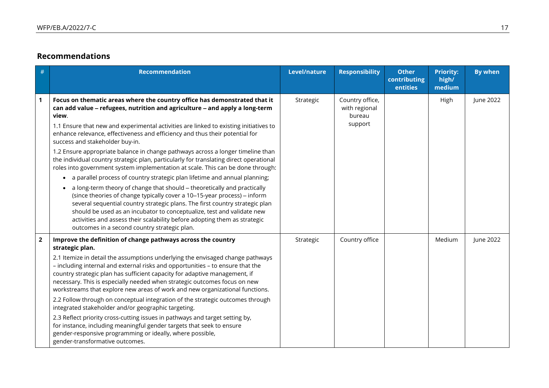## **Recommendations**

| #              | <b>Recommendation</b>                                                                                                                                                                                                                                                                                                                                                                                                                                                                                                                                                                                                                                                                                                                                                                                                                                                                                                                                                                                                                                                                                                                                                          | Level/nature | <b>Responsibility</b>                                 | <b>Other</b><br>contributing<br>entities | <b>Priority:</b><br>high/<br>medium | <b>By when</b> |
|----------------|--------------------------------------------------------------------------------------------------------------------------------------------------------------------------------------------------------------------------------------------------------------------------------------------------------------------------------------------------------------------------------------------------------------------------------------------------------------------------------------------------------------------------------------------------------------------------------------------------------------------------------------------------------------------------------------------------------------------------------------------------------------------------------------------------------------------------------------------------------------------------------------------------------------------------------------------------------------------------------------------------------------------------------------------------------------------------------------------------------------------------------------------------------------------------------|--------------|-------------------------------------------------------|------------------------------------------|-------------------------------------|----------------|
| $\mathbf 1$    | Focus on thematic areas where the country office has demonstrated that it<br>can add value - refugees, nutrition and agriculture - and apply a long-term<br>view.<br>1.1 Ensure that new and experimental activities are linked to existing initiatives to<br>enhance relevance, effectiveness and efficiency and thus their potential for<br>success and stakeholder buy-in.<br>1.2 Ensure appropriate balance in change pathways across a longer timeline than<br>the individual country strategic plan, particularly for translating direct operational<br>roles into government system implementation at scale. This can be done through:<br>• a parallel process of country strategic plan lifetime and annual planning;<br>• a long-term theory of change that should - theoretically and practically<br>(since theories of change typically cover a 10-15-year process) - inform<br>several sequential country strategic plans. The first country strategic plan<br>should be used as an incubator to conceptualize, test and validate new<br>activities and assess their scalability before adopting them as strategic<br>outcomes in a second country strategic plan. | Strategic    | Country office,<br>with regional<br>bureau<br>support |                                          | High                                | June 2022      |
| $\overline{2}$ | Improve the definition of change pathways across the country<br>strategic plan.<br>2.1 Itemize in detail the assumptions underlying the envisaged change pathways<br>- including internal and external risks and opportunities - to ensure that the<br>country strategic plan has sufficient capacity for adaptive management, if<br>necessary. This is especially needed when strategic outcomes focus on new<br>workstreams that explore new areas of work and new organizational functions.<br>2.2 Follow through on conceptual integration of the strategic outcomes through<br>integrated stakeholder and/or geographic targeting.<br>2.3 Reflect priority cross-cutting issues in pathways and target setting by,<br>for instance, including meaningful gender targets that seek to ensure<br>gender-responsive programming or ideally, where possible,<br>gender-transformative outcomes.                                                                                                                                                                                                                                                                               | Strategic    | Country office                                        |                                          | Medium                              | June 2022      |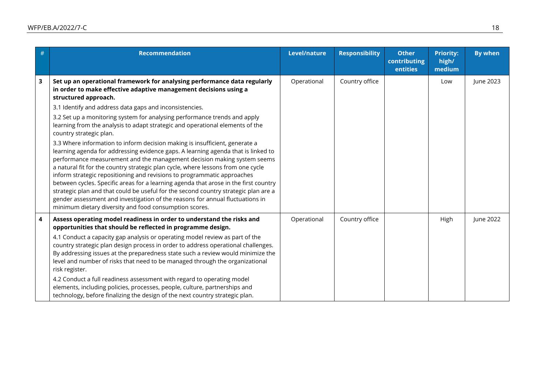| # | <b>Recommendation</b>                                                                                                                                                                                                                                                                                                                                                                                                                                                                                                                                                                                                                                                                                                                | Level/nature | <b>Responsibility</b> | <b>Other</b><br>contributing<br>entities | <b>Priority:</b><br>high/<br>medium | By when   |
|---|--------------------------------------------------------------------------------------------------------------------------------------------------------------------------------------------------------------------------------------------------------------------------------------------------------------------------------------------------------------------------------------------------------------------------------------------------------------------------------------------------------------------------------------------------------------------------------------------------------------------------------------------------------------------------------------------------------------------------------------|--------------|-----------------------|------------------------------------------|-------------------------------------|-----------|
| 3 | Set up an operational framework for analysing performance data regularly<br>in order to make effective adaptive management decisions using a<br>structured approach.<br>3.1 Identify and address data gaps and inconsistencies.<br>3.2 Set up a monitoring system for analysing performance trends and apply                                                                                                                                                                                                                                                                                                                                                                                                                         | Operational  | Country office        |                                          | Low                                 | June 2023 |
|   | learning from the analysis to adapt strategic and operational elements of the<br>country strategic plan.                                                                                                                                                                                                                                                                                                                                                                                                                                                                                                                                                                                                                             |              |                       |                                          |                                     |           |
|   | 3.3 Where information to inform decision making is insufficient, generate a<br>learning agenda for addressing evidence gaps. A learning agenda that is linked to<br>performance measurement and the management decision making system seems<br>a natural fit for the country strategic plan cycle, where lessons from one cycle<br>inform strategic repositioning and revisions to programmatic approaches<br>between cycles. Specific areas for a learning agenda that arose in the first country<br>strategic plan and that could be useful for the second country strategic plan are a<br>gender assessment and investigation of the reasons for annual fluctuations in<br>minimum dietary diversity and food consumption scores. |              |                       |                                          |                                     |           |
| 4 | Assess operating model readiness in order to understand the risks and<br>opportunities that should be reflected in programme design.                                                                                                                                                                                                                                                                                                                                                                                                                                                                                                                                                                                                 | Operational  | Country office        |                                          | High                                | June 2022 |
|   | 4.1 Conduct a capacity gap analysis or operating model review as part of the<br>country strategic plan design process in order to address operational challenges.<br>By addressing issues at the preparedness state such a review would minimize the<br>level and number of risks that need to be managed through the organizational<br>risk register.                                                                                                                                                                                                                                                                                                                                                                               |              |                       |                                          |                                     |           |
|   | 4.2 Conduct a full readiness assessment with regard to operating model<br>elements, including policies, processes, people, culture, partnerships and<br>technology, before finalizing the design of the next country strategic plan.                                                                                                                                                                                                                                                                                                                                                                                                                                                                                                 |              |                       |                                          |                                     |           |